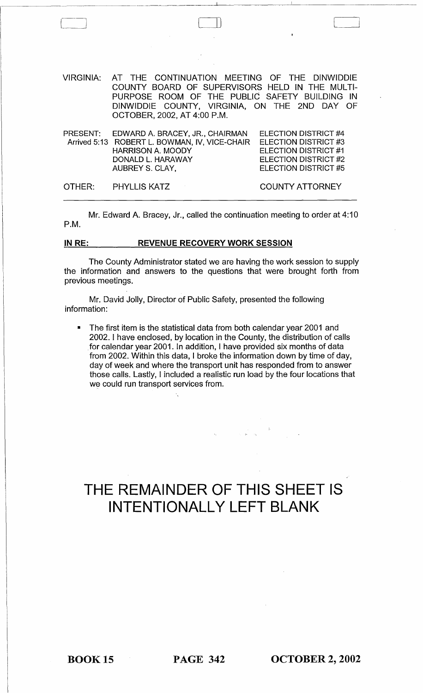VIRGINIA: AT THE CONTINUATION MEETING OF THE DINWIDDIE COUNTY BOARD OF SUPERVISORS HELD IN THE MULTI-PURPOSE ROOM OF THE PUBLIC SAFETY BUILDING IN DINWIDDIE COUNTY, VIRGINIA, ON THE 2ND DAY OF OCTOBER, 2002, AT 4:00 P.M.

| PRESENT: EDWARD A. BRACEY, JR., CHAIRMAN<br>Arrived 5:13 ROBERT L. BOWMAN, IV, VICE-CHAIR<br><b>HARRISON A. MOODY</b><br>DONALD L. HARAWAY | <b>ELECTION DISTRICT #4</b><br><b>ELECTION DISTRICT #3</b><br><b>ELECTION DISTRICT #1</b><br><b>ELECTION DISTRICT #2</b> |
|--------------------------------------------------------------------------------------------------------------------------------------------|--------------------------------------------------------------------------------------------------------------------------|
| AUBREY S. CLAY,<br>OTHER: PHYLLIS KATZ                                                                                                     | <b>ELECTION DISTRICT #5</b><br><b>COUNTY ATTORNEY</b>                                                                    |

Mr. Edward A. Bracey, Jr., called the continuation meeting to order at 4:10 P.M.

#### **IN RE:** REVENUE RECOVERY WORK SESSION

The County Administrator stated we are having the work session to supply the information and answers to the questions that were brought forth from previous meetings.

Mr. David Jolly, Director of Public Safety, presented the following information:

• The first item is the statistical data from both calendar year 2001 and 2002. I have enclosed, by location in the County, the distribution of calls for calendar year 2001. In addition, I have provided six months of data from 2002. Within this data, I broke the information down by time of day, day of week and where the transport unit has responded from to answer those calls. Lastly, I included a realistic run load by the four locations that we could run transport services from.

# **THE REMAINDER OF THIS SHEET IS INTENTIONALLY LEFT BLANK**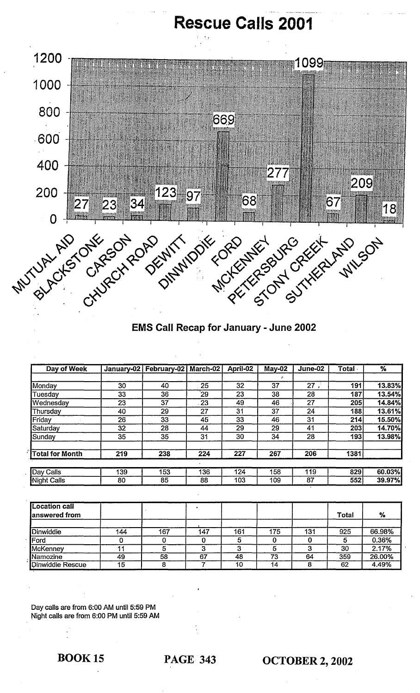# **Rescue Calls 2001**



### EMS Call Recap for January - June 2002

| Day of Week            |     | January-02   February-02   March-02 |     | April-02 | $May-02$ | June-02 | Total | $\%$   |
|------------------------|-----|-------------------------------------|-----|----------|----------|---------|-------|--------|
|                        |     |                                     |     |          | ĵ8       |         |       |        |
| Monday                 | 30  | 40                                  | 25  | 32       | 37       | 27      | 191   | 13.83% |
| Tuesday                | 33  | 36                                  | 29` | 23       | 38       | 28      | 187   | 13.54% |
| Wednesday              | 23  | 37                                  | 23  | 49       | 46       | 27      | 205   | 14.84% |
| Thursday               | 40  | 29                                  | 27  | 31       | 37       | 24      | 188   | 13.61% |
| Friday                 | 26  | 33 <sup>5</sup>                     | 45  | 33       | 46       | 31      | 214   | 15.50% |
| Saturday               | 32  | 28                                  | 44  | 29       | 29       | 41      | 203   | 14.70% |
| Sunday                 | 35  | 35 <sup>5</sup>                     | 31  | 30       | 34       | 28      | 193   | 13.98% |
| <b>Total for Month</b> | 219 | 238                                 | 224 | 227      | 267      | 206     | 1381  |        |
| Day Calls              | 139 | 153                                 | 136 | 124      | 158      | 119     | 829   | 60.03% |
| <b>Night Calls</b>     | 80  | 85                                  | 88  | 103      | 109      | 87      | 552   | 39.97% |

| <b>Location call</b><br>lanswered from |     |     |     |     |     |     | Total | %      |
|----------------------------------------|-----|-----|-----|-----|-----|-----|-------|--------|
| Dinwiddie                              | 144 | 167 | 147 | 161 | 175 | 131 | 925   | 66.98% |
| Ford                                   |     |     |     | 5   |     |     |       | 0.36%  |
| McKenney                               | 11  |     |     |     |     |     | 30    | 2.17%  |
| Namozine                               | 49  | 58  | 67  | 48  | 73  | 64  | 359   | 26.00% |
| <b>Dinwiddie Rescue</b>                | 15  |     |     | 10  | 14  |     | 62    | 4.49%  |

Day calls are from 6:00 AM until 5:59 PM Night calls are from 6:00 PM until 5:59 AM

## BOOK 15 PAGE 343 OCTOBER 2, 2002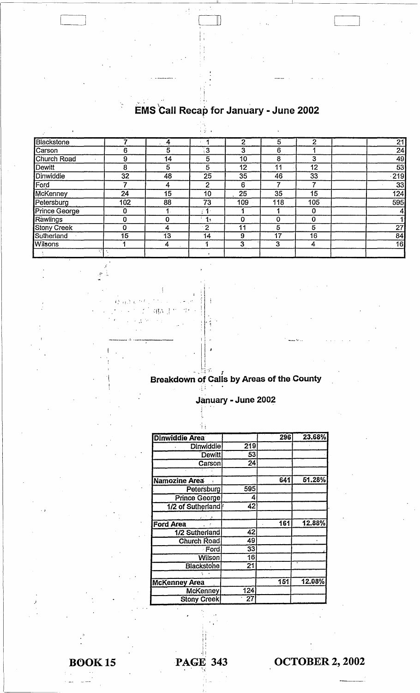#### , , , EMS Call Recap for January - June 2002

III

 $\lfloor$ 

j: 11

过

 $\frac{1}{2}$  ,  $\frac{1}{2}$  ,  $\frac{1}{2}$ Blackstone 7<br>Carson 6 1 21 ,4 2 5 2 Carson<br>Church Road 9 5  $\overline{3}$ 24 3 6 1 14 49 Church Road 9<br>Dewitt 8  $\overline{5}$ 10 8 3 Dewitt 8<br>Dinwiddie 32 5  $\overline{5}$ 53 12 11 12 **Dinwiddie** 48 25 35 46 33 '219 Ford 7<br>McKenney 24 4 2 33 6 7 7  $\overline{15}$ 25 35 15<br>109 118 105 10 124 McKenney 24<br>Petersburg 102 Petersburg 102<br>Prince George 0 88 73 09 118 105 595 Prince George 0<br>
Rawlings 0  $\overline{1}$ ; 1 4 1 0 1 Rawlings 0<br>Stony Creek 0 0  $\cdot$  1. 0 0 0 27 Stony Creek 0<br>Sutherland 15 4  $\overline{2}$  $\begin{array}{c|c|c|c|c|c} \hline 11 & 5 & 5 \ \hline \end{array}$ Sutherland 15<br>Wilsons 1 13 14 84 <u>9 17 16</u> Wilsons 1 4 1 16  $\begin{array}{|c|c|c|c|c|}\n \hline\n 3 & 3 & 4 \\
 \hline\n \end{array}$ .' "  $\ddot{\phantom{1}}$ 

I '  $; |$ '.~ :: .~ '. '. *t* f j  $\frac{1}{2}$  $\prod_{i=1}^n$ 组成于  $\cdot$  :  $\cdot$  $\mathbb{R}^{N+1}$ ; i."  $\prod_{i=1}^{n}$ 

~. '"

,--------J

.H., Breakdown of Calls by Areas of the County  $\mathbf{r}$ 

 $\prod_{i=1}^n$ 

 $\prod_{i=1}^{n}$ 

January - June 2002<br>|

| 4ì                    |     |     |        |
|-----------------------|-----|-----|--------|
| <b>Dinwiddie Area</b> |     | 296 | 23.68% |
| Dinwiddie             | 219 |     |        |
| <b>Dewitt</b>         | 53  |     |        |
| Carson                | 24  |     |        |
|                       |     |     |        |
| Namozine Area         |     | 641 | 51.28% |
| Petersburg            | 595 |     |        |
| Prince George         | 4   |     |        |
| 1/2 of Sutherland     | 42  |     |        |
|                       |     |     |        |
| <b>Ford Area</b>      |     | 161 | 12.88% |
| 1/2 Sutherland        | 42  |     |        |
| <b>Church Road</b>    | 49  |     |        |
| <b>Ford</b>           | 33  |     |        |
| Wilson                | 16  |     |        |
| <b>Blackstone</b>     | 21  |     |        |
|                       |     |     |        |
| <b>McKenney Area</b>  |     | 151 | 12.08% |
| <b>McKenney</b>       | 124 |     |        |
| <b>Stony Creek</b>    | 27  |     |        |

**BOOK15** 

, ,

:'

PAGE 343 OCTOBER 2, 2002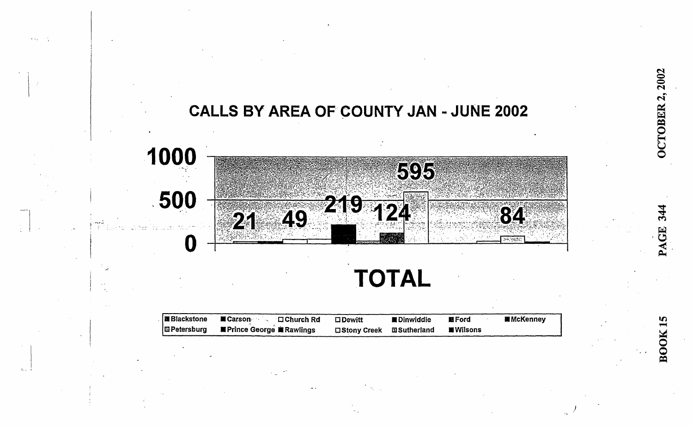

2002

**OCTOBER 2** 

344

**GE** 

**BOOK15** 

| <b>■Blackstone</b> | <b>■ Carson</b><br>∴ □ Church Rd    | $\square$ Dewitt | ■Dinwiddie  | <b>ME</b> Ford | <b>■ McKenney</b> |
|--------------------|-------------------------------------|------------------|-------------|----------------|-------------------|
| <b>国Petersburg</b> | <b>IF Prince George IF Rawlings</b> | □ Stony Creek    | 図Sutherland | ■Wilsons       |                   |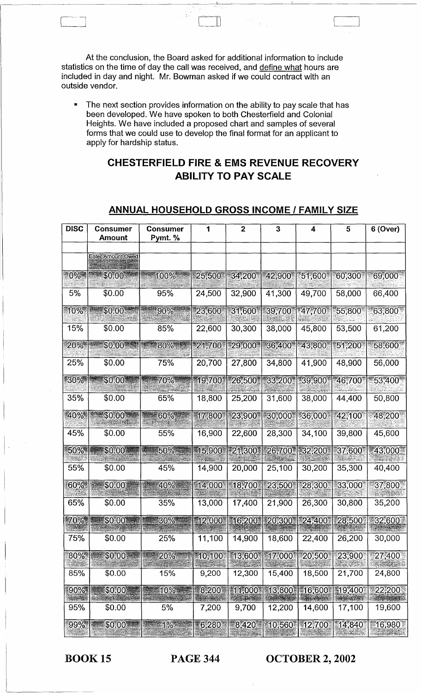At the conclusion, the Board asked for additional information to include statistics on the time of day the call was received, and define what hours are included in day and night. Mr. Bowman asked if we could contract with an outside vendor.

• The next section provides information on the ability to pay scale that has been developed. We have spoken to both Chesterfield and Colonial Heights. We have included a proposed chart and samples of several forms that we could use to develop the final format for an applicant to apply for hardship status.

### **CHESTERFIELD FIRE & EMS REVENUE RECOVERY ABILITY TO PAY SCALE**

### **ANNUAL HOUSEHOLD GROSS INCOME I FAMILY SIZE**

| <b>DISC</b> | <b>Consumer</b><br><b>Amount</b> | <b>Consumer</b><br>Pymt. % | 1      | $\mathbf{2}$ | 3      | 4      | 5      | 6 (Over) |
|-------------|----------------------------------|----------------------------|--------|--------------|--------|--------|--------|----------|
|             | Enter Amount Owed                |                            |        |              |        |        |        |          |
| $-0\%$      | \$0.00                           | 100%                       | 25,500 | 34,200       | 42,900 | 51,600 | 60,300 | 69,000   |
| 5%          | \$0.00                           | 95%                        | 24,500 | 32,900       | 41,300 | 49,700 | 58,000 | 66,400   |
| 10%         | \$0.00                           | 90%                        | 23,600 | 31,600       | 39,700 | 47,700 | 55,800 | 63,800   |
| 15%         | \$0.00                           | 85%                        | 22,600 | 30,300       | 38,000 | 45,800 | 53,500 | 61,200   |
| 20%         | \$0.00                           | $80\%$                     | 21,700 | 29,000       | 36,400 | 43,800 | 51,200 | 58,600   |
| 25%         | \$0.00                           | 75%                        | 20,700 | 27,800       | 34,800 | 41,900 | 48,900 | 56,000   |
| $-30\%$     | \$0.00                           | 70%                        | 19,700 | 26,500       | 33,200 | 39,900 | 46,700 | 53,400*  |
| 35%         | \$0.00                           | 65%                        | 18,800 | 25,200       | 31,600 | 38,000 | 44,400 | 50,800   |
| "40%"       | \$0.00                           | 60%                        | 17,800 | 23,900       | 30,000 | 36,000 | 42,100 | 48,200   |
| 45%         | \$0.00                           | 55%                        | 16,900 | 22,600       | 28,300 | 34,100 | 39,800 | 45,600   |
| 50%         | \$0.00                           | 50%                        | 15,900 | 21,300       | 26,700 | 32,200 | 37,600 | 43,000   |
| 55%         | \$0.00                           | 45%                        | 14,900 | 20,000       | 25,100 | 30,200 | 35,300 | 40,400   |
| 60%         | \$0.00                           | 40%                        | 14,000 | 18,700       | 23,500 | 28,300 | 33,000 | 37,800   |
| 65%         | \$0.00                           | 35%                        | 13,000 | 17,400       | 21,900 | 26,300 | 30,800 | 35,200   |
| $70\%$      | \$0.00                           | 30%                        | 12,000 | 16,200       | 20,300 | 24,400 | 28,500 | 32,600   |
| 75%         | \$0.00                           | 25%                        | 11,100 | 14,900       | 18,600 | 22,400 | 26,200 | 30,000   |
| 80%         | \$0.00                           | 20%                        | 10,100 | 13,600       | 17,000 | 20,500 | 23,900 | 27,400   |
| 85%         | \$0.00                           | 15%                        | 9,200  | 12,300       | 15,400 | 18,500 | 21,700 | 24,800   |
| 90%*        | \$0.00                           | $10\%$                     | 8,200  | 11,000       | 13,800 | 16,600 | 19,400 | 22,200   |
| 95%         | \$0.00                           | 5%                         | 7,200  | 9,700        | 12,200 | 14,600 | 17,100 | 19,600   |
| $99\%$      | \$0.00                           | $1\%$                      | 6,280  | 8,420        | 10,560 | 12,700 | 14,840 | 16,980   |

 $\vert \cdot \vert$ 

BOOK 15 PAGE 344 **OCTOBER 2, 2002**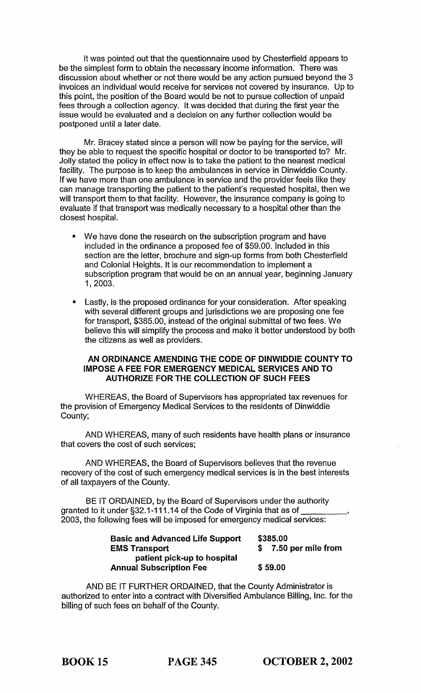It was pointed out that the questionnaire used by Chesterfield appears to be the simplest form to obtain the necessary income information. There was discussion about whether or not there would be any action pursued beyond the 3 invoices an individual would receive for services not covered by insurance. Up to this point, the position of the Board would be not to pursue collection of unpaid fees through a collection agency. It was decided that during the first year the issue would be evaluated and a decision on any further collection would be postponed until a later date.

Mr. Bracey stated since a person will now be paying for the service, will they be able to request the specific hospital or doctor to be transported to? Mr. Jolly stated the policy in effect now is to take the patient to the nearest medical facility. The purpose is to keep the ambulances in service in Dinwiddie County. If we have more than one ambulance in service and the provider feels like they can manage transporting the patient to the patient's requested hospital, then we will transport them to that facility. However, the insurance company is going to evaluate if that transport was medically necessary to a hospital other than the closest hospital.

- We have done the research on the subscription program and have included in the ordinance a proposed fee of \$59.00. Included in this section are the letter, brochure and sign-up forms from both Chesterfield and Colonial Heights. It is our recommendation to implement a subscription program that would be on an annual year, beginning January 1,2003.
- Lastly, is the proposed ordinance for your consideration. After speaking with several different groups and jurisdictions we are proposing one fee for transport, \$385.00, instead of the original submittal of two fees. We believe this will simplify the process and make it better understood by both the citizens as well as providers.

#### AN ORDINANCE AMENDING THE CODE OF DINWIDDIE COUNTY TO IMPOSE A FEE FOR EMERGENCY MEDICAL SERVICES AND TO AUTHORIZE FOR THE COLLECTION OF SUCH FEES

WHEREAS, the Board of Supervisors has appropriated tax revenues for the provision of Emergency Medical Services to the residents of Dinwiddie County;

AND WHEREAS, many of such residents have health plans or insurance that covers the cost of such services;

AND WHEREAS, the Board of Supervisors believes that the revenue recovery of the cost of such emergency medical services is in the best interests of all taxpayers of the County.

BE IT ORDAINED, by the Board of Supervisors under the authority granted to it under §32.1-111.14 of the Code of Virginia that as of \_\_\_\_ \_ 2003, the following fees will be imposed for emergency medical services:

| <b>Basic and Advanced Life Support</b> | \$385.00              |
|----------------------------------------|-----------------------|
| <b>EMS Transport</b>                   | \$ 7.50 per mile from |
| patient pick-up to hospital            |                       |
| <b>Annual Subscription Fee</b>         | \$59.00               |

AND BE IT FURTHER ORDAINED, that the County Administrator is authorized to enter into a contract with Diversified Ambulance Billing, Inc. for the billing of such fees on behalf of the County.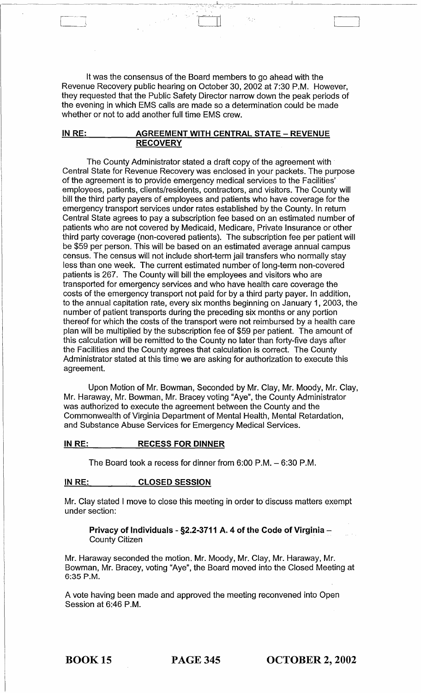It was the consensus of the Board members to go ahead with the Revenue Recovery public hearing on October 30,2002 at 7:30 P.M. However, they requested that the Public Safety Director narrow down the peak periods of the evening in which EMS calls are made so a determination could be made whether or not to add another full time EMS crew.

#### IN RE: AGREEMENT WITH CENTRAL STATE - REVENUE **RECOVERY**

The County Administrator stated a draft copy of the agreement with Central State for Revenue Recovery was enclosed in your packets. The purpose of the agreement is to provide emergency medical services to the Facilities' employees, patients, clients/residents, contractors, and visitors. The County will bill the third party payers of employees and patients who have coverage for the emergency transport services under rates established by the County. In return Central State agrees to pay a subscription fee based on an estimated number of patients who are not covered by Medicaid, Medicare, Private Insurance or other third party coverage (non-covered patients). The subscription fee per patient will be \$59 per person. This will be based on an estimated average annual campus census. The census will not include short-term jail transfers who normally stay less than one week. The current estimated number of long-term non-covered patients is 267. The County will bill the employees and visitors who are transported for emergency services and who have health care coverage the costs of the emergency transport not paid for by a third party payer. In addition, to the annual capitation rate, every six months beginning on January 1, 2003, the number of patient transports during the preceding six months or any portion thereof for which the costs of the transport were not reimbursed by a health care plan will be multiplied by the-subscription fee of \$59 per patient. The amount of this calculation will be remitted to the County no later than forty-five days after the Facilities and the County agrees that calculation is correct. The County Administrator stated at this time we are asking for authorization to execute this agreement.

Upon Motion of Mr. Bowman, Seconded by Mr. Clay, Mr. Moody, Mr. Clay, Mr. Haraway, Mr. Bowman, Mr. Bracey voting "Aye", the County Administrator was authorized to execute the agreement between the County and the Commonwealth of Virginia Department of Mental Health, Mental Retardation, and Substance Abuse Services for Emergency Medical Services.

#### IN RE: RECESS FOR DINNER

The Board took a recess for dinner from 6:00 P.M. - 6:30 P.M.

#### IN RE: CLOSED SESSION

Mr. Clay stated I move to close this meeting in order to discuss matters exempt under section:

Privacy of Individuals - §2.2-3711 A. 4 of the Code of Virginia -**County Citizen** 

Mr. Haraway seconded the motion. Mr. Moody, Mr. Clay, Mr. Haraway, Mr. Bowman, Mr. Bracey, voting "Aye", the Board moved into the Closed Meeting at 6:35 P.M.

A vote having been made and approved the meeting reconvened into Open Session at 6:46 P.M.

-----------~--------

BOOK 15 PAGE 345 OCTOBER 2, 2002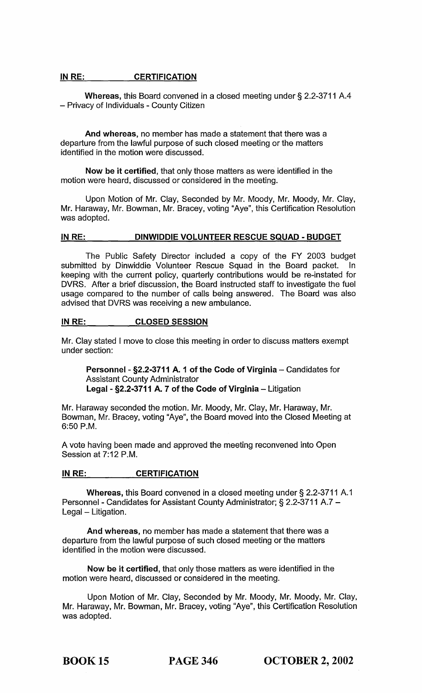#### IN RE: CERTIFICATION

Whereas, this Board convened in a closed meeting under § 2.2-3711 A.4 - Privacy of Individuals - County Citizen

And whereas, no member has made a statement that there was a departure from the lawful purpose of such closed meeting or the matters identified in the motion were discussed.

Now be it certified, that only those matters as were identified in the motion were heard, discussed or considered in the meeting.

Upon Motion of Mr. Clay, Seconded by Mr. Moody, Mr. Moody, Mr. Clay, Mr. Haraway, Mr. Bowman, Mr. Bracey, voting "Aye", this Certification Resolution was adopted.

#### IN RE: DINWIDDIE VOLUNTEER RESCUE SQUAD - BUDGET

The Public Safety Director included a copy of the FY 2003 budget submitted by Dinwiddie Volunteer Rescue Squad in the Board packet. In keeping with the current policy, quarterly contributions would be re-instated for DVRS. After a brief discussion, the Board instructed staff to investigate the fuel usage compared to the number of calls being answered. The Board was also advised that DVRS was receiving a new ambulance.

#### IN RE: CLOSED SESSION

Mr. Clay stated I move to close this meeting in order to discuss matters exempt under section:

Personnel - §2.2-3711 A. 1 of the Code of Virginia - Candidates for Assistant County Administrator Legal - §2.2-3711 A. 7 of the Code of Virginia - Litigation

Mr. Haraway seconded the motion. Mr. Moody, Mr. Clay, Mr. Haraway, Mr. Bowman, Mr. Bracey, voting "Aye", the Board moved into the Closed Meeting at 6:50 P.M.

A vote having been made and approved the meeting reconvened into Open Session at 7:12 P.M.

#### IN RE: CERTIFICATION

Whereas, this Board convened in a closed meeting under § 2.2-3711 A.1 Personnel - Candidates for Assistant County Administrator; § 2.2-3711 A.7 -Legal - Litigation.

And whereas, no member has made a statement that there was a departure from the lawful purpose of such closed meeting or the matters identified in the motion were discussed.

Now be it certified, that only those matters as were identified in the motion were heard, discussed or considered in the meeting.

Upon Motion of Mr. Clay, Seconded by Mr. Moody, Mr. Moody, Mr. Clay, Mr. Haraway, Mr. Bowman, Mr. Bracey, voting "Aye", this Certification Resolution was adopted.